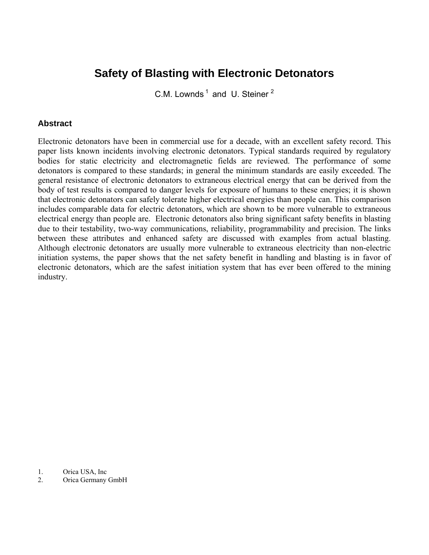# **Safety of Blasting with Electronic Detonators**

C.M. Lownds<sup>1</sup> and U. Steiner<sup>2</sup>

#### **Abstract**

Electronic detonators have been in commercial use for a decade, with an excellent safety record. This paper lists known incidents involving electronic detonators. Typical standards required by regulatory bodies for static electricity and electromagnetic fields are reviewed. The performance of some detonators is compared to these standards; in general the minimum standards are easily exceeded. The general resistance of electronic detonators to extraneous electrical energy that can be derived from the body of test results is compared to danger levels for exposure of humans to these energies; it is shown that electronic detonators can safely tolerate higher electrical energies than people can. This comparison includes comparable data for electric detonators, which are shown to be more vulnerable to extraneous electrical energy than people are. Electronic detonators also bring significant safety benefits in blasting due to their testability, two-way communications, reliability, programmability and precision. The links between these attributes and enhanced safety are discussed with examples from actual blasting. Although electronic detonators are usually more vulnerable to extraneous electricity than non-electric initiation systems, the paper shows that the net safety benefit in handling and blasting is in favor of electronic detonators, which are the safest initiation system that has ever been offered to the mining industry.

- 1. Orica USA, Inc
- 2. Orica Germany GmbH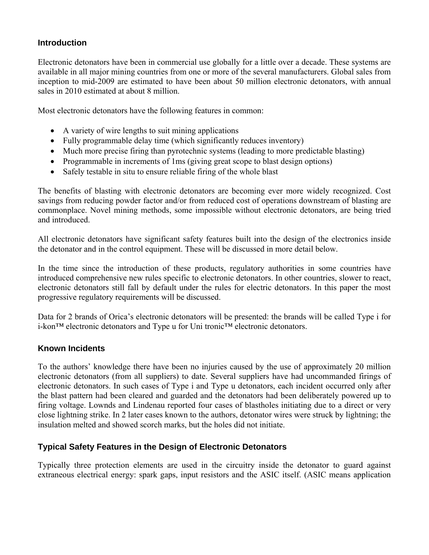### **Introduction**

Electronic detonators have been in commercial use globally for a little over a decade. These systems are available in all major mining countries from one or more of the several manufacturers. Global sales from inception to mid-2009 are estimated to have been about 50 million electronic detonators, with annual sales in 2010 estimated at about 8 million.

Most electronic detonators have the following features in common:

- A variety of wire lengths to suit mining applications
- Fully programmable delay time (which significantly reduces inventory)
- Much more precise firing than pyrotechnic systems (leading to more predictable blasting)
- Programmable in increments of 1ms (giving great scope to blast design options)
- Safely testable in situ to ensure reliable firing of the whole blast

The benefits of blasting with electronic detonators are becoming ever more widely recognized. Cost savings from reducing powder factor and/or from reduced cost of operations downstream of blasting are commonplace. Novel mining methods, some impossible without electronic detonators, are being tried and introduced.

All electronic detonators have significant safety features built into the design of the electronics inside the detonator and in the control equipment. These will be discussed in more detail below.

In the time since the introduction of these products, regulatory authorities in some countries have introduced comprehensive new rules specific to electronic detonators. In other countries, slower to react, electronic detonators still fall by default under the rules for electric detonators. In this paper the most progressive regulatory requirements will be discussed.

Data for 2 brands of Orica's electronic detonators will be presented: the brands will be called Type i for i-kon™ electronic detonators and Type u for Uni tronic™ electronic detonators.

## **Known Incidents**

To the authors' knowledge there have been no injuries caused by the use of approximately 20 million electronic detonators (from all suppliers) to date. Several suppliers have had uncommanded firings of electronic detonators. In such cases of Type i and Type u detonators, each incident occurred only after the blast pattern had been cleared and guarded and the detonators had been deliberately powered up to firing voltage. Lownds and Lindenau reported four cases of blastholes initiating due to a direct or very close lightning strike. In 2 later cases known to the authors, detonator wires were struck by lightning; the insulation melted and showed scorch marks, but the holes did not initiate.

## **Typical Safety Features in the Design of Electronic Detonators**

Typically three protection elements are used in the circuitry inside the detonator to guard against extraneous electrical energy: spark gaps, input resistors and the ASIC itself. (ASIC means application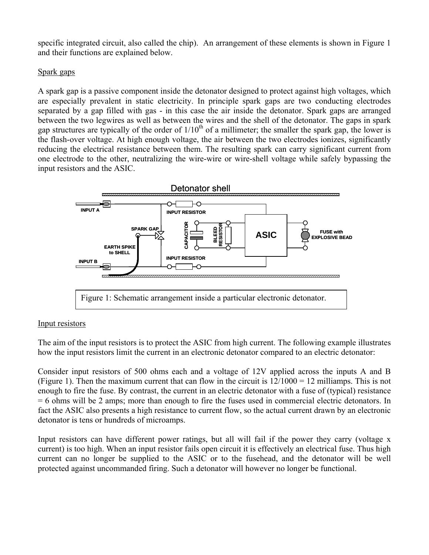specific integrated circuit, also called the chip). An arrangement of these elements is shown in Figure 1 and their functions are explained below.

#### Spark gaps

A spark gap is a passive component inside the detonator designed to protect against high voltages, which are especially prevalent in static electricity. In principle spark gaps are two conducting electrodes separated by a gap filled with gas - in this case the air inside the detonator. Spark gaps are arranged between the two legwires as well as between the wires and the shell of the detonator. The gaps in spark gap structures are typically of the order of  $1/10^{th}$  of a millimeter; the smaller the spark gap, the lower is the flash-over voltage. At high enough voltage, the air between the two electrodes ionizes, significantly reducing the electrical resistance between them. The resulting spark can carry significant current from one electrode to the other, neutralizing the wire-wire or wire-shell voltage while safely bypassing the input resistors and the ASIC.



#### Input resistors

The aim of the input resistors is to protect the ASIC from high current. The following example illustrates how the input resistors limit the current in an electronic detonator compared to an electric detonator:

Consider input resistors of 500 ohms each and a voltage of 12V applied across the inputs A and B (Figure 1). Then the maximum current that can flow in the circuit is  $12/1000 = 12$  milliamps. This is not enough to fire the fuse. By contrast, the current in an electric detonator with a fuse of (typical) resistance = 6 ohms will be 2 amps; more than enough to fire the fuses used in commercial electric detonators. In fact the ASIC also presents a high resistance to current flow, so the actual current drawn by an electronic detonator is tens or hundreds of microamps.

Input resistors can have different power ratings, but all will fail if the power they carry (voltage x current) is too high. When an input resistor fails open circuit it is effectively an electrical fuse. Thus high current can no longer be supplied to the ASIC or to the fusehead, and the detonator will be well protected against uncommanded firing. Such a detonator will however no longer be functional.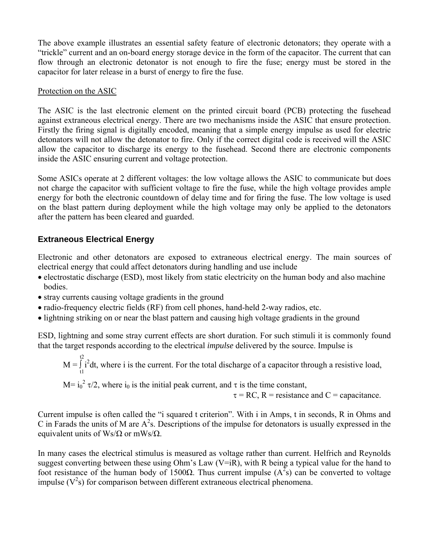The above example illustrates an essential safety feature of electronic detonators; they operate with a "trickle" current and an on-board energy storage device in the form of the capacitor. The current that can flow through an electronic detonator is not enough to fire the fuse; energy must be stored in the capacitor for later release in a burst of energy to fire the fuse.

#### Protection on the ASIC

The ASIC is the last electronic element on the printed circuit board (PCB) protecting the fusehead against extraneous electrical energy. There are two mechanisms inside the ASIC that ensure protection. Firstly the firing signal is digitally encoded, meaning that a simple energy impulse as used for electric detonators will not allow the detonator to fire. Only if the correct digital code is received will the ASIC allow the capacitor to discharge its energy to the fusehead. Second there are electronic components inside the ASIC ensuring current and voltage protection.

Some ASICs operate at 2 different voltages: the low voltage allows the ASIC to communicate but does not charge the capacitor with sufficient voltage to fire the fuse, while the high voltage provides ample energy for both the electronic countdown of delay time and for firing the fuse. The low voltage is used on the blast pattern during deployment while the high voltage may only be applied to the detonators after the pattern has been cleared and guarded.

# **Extraneous Electrical Energy**

Electronic and other detonators are exposed to extraneous electrical energy. The main sources of electrical energy that could affect detonators during handling and use include

- electrostatic discharge (ESD), most likely from static electricity on the human body and also machine bodies.
- stray currents causing voltage gradients in the ground
- radio-frequency electric fields (RF) from cell phones, hand-held 2-way radios, etc.
- lightning striking on or near the blast pattern and causing high voltage gradients in the ground

ESD, lightning and some stray current effects are short duration. For such stimuli it is commonly found that the target responds according to the electrical *impulse* delivered by the source. Impulse is

 $t2$  $M = \int i^2 dt$ , where i is the current. For the total discharge of a capacitor through a resistive load, t1

 $M = i_0^2 \tau/2$ , where  $i_0$  is the initial peak current, and  $\tau$  is the time constant,

 $\tau = RC$ , R = resistance and C = capacitance.

Current impulse is often called the "i squared t criterion". With i in Amps, t in seconds, R in Ohms and C in Farads the units of M are  $A^2s$ . Descriptions of the impulse for detonators is usually expressed in the equivalent units of Ws/ $Ω$  or mWs/ $Ω$ .

In many cases the electrical stimulus is measured as voltage rather than current. Helfrich and Reynolds suggest converting between these using Ohm's Law (V=iR), with R being a typical value for the hand to foot resistance of the human body of 1500 $\Omega$ . Thus current impulse ( $A^2$ s) can be converted to voltage impulse  $(V^2s)$  for comparison between different extraneous electrical phenomena.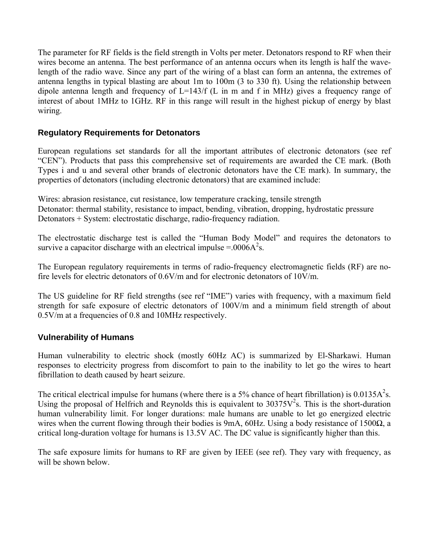The parameter for RF fields is the field strength in Volts per meter. Detonators respond to RF when their wires become an antenna. The best performance of an antenna occurs when its length is half the wavelength of the radio wave. Since any part of the wiring of a blast can form an antenna, the extremes of antenna lengths in typical blasting are about 1m to 100m (3 to 330 ft). Using the relationship between dipole antenna length and frequency of L=143/f (L in m and f in MHz) gives a frequency range of interest of about 1MHz to 1GHz. RF in this range will result in the highest pickup of energy by blast wiring.

### **Regulatory Requirements for Detonators**

European regulations set standards for all the important attributes of electronic detonators (see ref "CEN"). Products that pass this comprehensive set of requirements are awarded the CE mark. (Both Types i and u and several other brands of electronic detonators have the CE mark). In summary, the properties of detonators (including electronic detonators) that are examined include:

Wires: abrasion resistance, cut resistance, low temperature cracking, tensile strength Detonator: thermal stability, resistance to impact, bending, vibration, dropping, hydrostatic pressure Detonators + System: electrostatic discharge, radio-frequency radiation.

The electrostatic discharge test is called the "Human Body Model" and requires the detonators to survive a capacitor discharge with an electrical impulse =  $.0006A^2$ s.

The European regulatory requirements in terms of radio-frequency electromagnetic fields (RF) are nofire levels for electric detonators of 0.6V/m and for electronic detonators of 10V/m.

The US guideline for RF field strengths (see ref "IME") varies with frequency, with a maximum field strength for safe exposure of electric detonators of 100V/m and a minimum field strength of about 0.5V/m at a frequencies of 0.8 and 10MHz respectively.

#### **Vulnerability of Humans**

Human vulnerability to electric shock (mostly 60Hz AC) is summarized by El-Sharkawi. Human responses to electricity progress from discomfort to pain to the inability to let go the wires to heart fibrillation to death caused by heart seizure.

The critical electrical impulse for humans (where there is a 5% chance of heart fibrillation) is  $0.0135A<sup>2</sup>s$ . Using the proposal of Helfrich and Reynolds this is equivalent to  $30375V^2$ s. This is the short-duration human vulnerability limit. For longer durations: male humans are unable to let go energized electric wires when the current flowing through their bodies is 9mA, 60Hz. Using a body resistance of 1500 $\Omega$ , a critical long-duration voltage for humans is 13.5V AC. The DC value is significantly higher than this.

The safe exposure limits for humans to RF are given by IEEE (see ref). They vary with frequency, as will be shown below.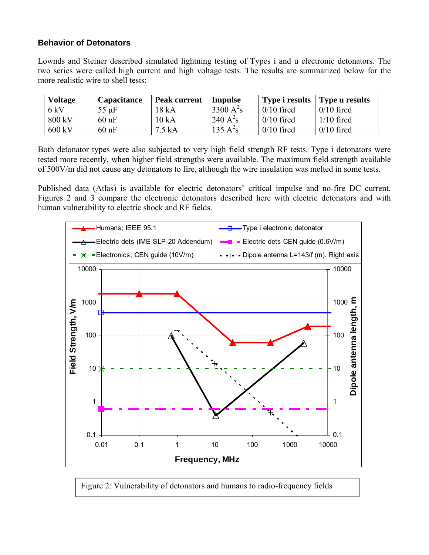### **Behavior of Detonators**

Lownds and Steiner described simulated lightning testing of Types i and u electronic detonators. The two series were called high current and high voltage tests. The results are summarized below for the more realistic wire to shell tests:

| <b>Voltage</b>   | <b>Capacitance</b> | <b>Peak current</b> | <b>Impulse</b> | <b>Type i results</b> | Type u results |
|------------------|--------------------|---------------------|----------------|-----------------------|----------------|
| 6 kV             | $55 \mu F$         | 18 kA               | 3300 $A^2s$    | $0/10$ fired          | $0/10$ fired   |
| 800 kV           | $60$ nF            | 10 kA               | 240 $A^2s$     | $0/10$ fired          | $1/10$ fired   |
| $600 \text{ kV}$ | $60$ nF            | 7.5 kA              | 135 $A^2$ s    | $0/10$ fired          | $0/10$ fired   |

Both detonator types were also subjected to very high field strength RF tests. Type i detonators were tested more recently, when higher field strengths were available. The maximum field strength available of 500V/m did not cause any detonators to fire, although the wire insulation was melted in some tests.

Published data (Atlas) is available for electric detonators' critical impulse and no-fire DC current. Figures 2 and 3 compare the electronic detonators described here with electric detonators and with human vulnerability to electric shock and RF fields.



Figure 2: Vulnerability of detonators and humans to radio-frequency fields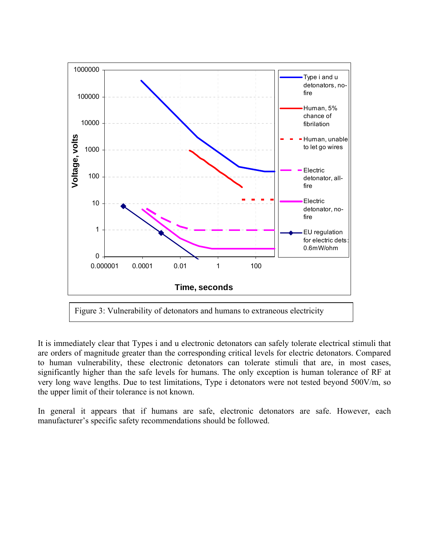

It is immediately clear that Types i and u electronic detonators can safely tolerate electrical stimuli that are orders of magnitude greater than the corresponding critical levels for electric detonators. Compared to human vulnerability, these electronic detonators can tolerate stimuli that are, in most cases, significantly higher than the safe levels for humans. The only exception is human tolerance of RF at very long wave lengths. Due to test limitations, Type i detonators were not tested beyond 500V/m, so the upper limit of their tolerance is not known.

In general it appears that if humans are safe, electronic detonators are safe. However, each manufacturer's specific safety recommendations should be followed.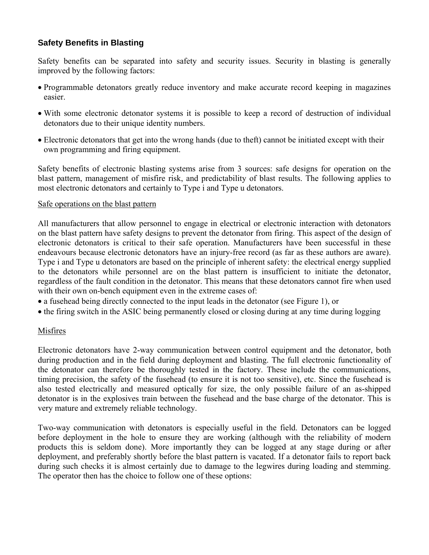# **Safety Benefits in Blasting**

Safety benefits can be separated into safety and security issues. Security in blasting is generally improved by the following factors:

- Programmable detonators greatly reduce inventory and make accurate record keeping in magazines easier.
- With some electronic detonator systems it is possible to keep a record of destruction of individual detonators due to their unique identity numbers.
- Electronic detonators that get into the wrong hands (due to theft) cannot be initiated except with their own programming and firing equipment.

Safety benefits of electronic blasting systems arise from 3 sources: safe designs for operation on the blast pattern, management of misfire risk, and predictability of blast results. The following applies to most electronic detonators and certainly to Type i and Type u detonators.

#### Safe operations on the blast pattern

All manufacturers that allow personnel to engage in electrical or electronic interaction with detonators on the blast pattern have safety designs to prevent the detonator from firing. This aspect of the design of electronic detonators is critical to their safe operation. Manufacturers have been successful in these endeavours because electronic detonators have an injury-free record (as far as these authors are aware). Type i and Type u detonators are based on the principle of inherent safety: the electrical energy supplied to the detonators while personnel are on the blast pattern is insufficient to initiate the detonator, regardless of the fault condition in the detonator. This means that these detonators cannot fire when used with their own on-bench equipment even in the extreme cases of:

- a fusehead being directly connected to the input leads in the detonator (see Figure 1), or
- the firing switch in the ASIC being permanently closed or closing during at any time during logging

#### Misfires

Electronic detonators have 2-way communication between control equipment and the detonator, both during production and in the field during deployment and blasting. The full electronic functionality of the detonator can therefore be thoroughly tested in the factory. These include the communications, timing precision, the safety of the fusehead (to ensure it is not too sensitive), etc. Since the fusehead is also tested electrically and measured optically for size, the only possible failure of an as-shipped detonator is in the explosives train between the fusehead and the base charge of the detonator. This is very mature and extremely reliable technology.

Two-way communication with detonators is especially useful in the field. Detonators can be logged before deployment in the hole to ensure they are working (although with the reliability of modern products this is seldom done). More importantly they can be logged at any stage during or after deployment, and preferably shortly before the blast pattern is vacated. If a detonator fails to report back during such checks it is almost certainly due to damage to the legwires during loading and stemming. The operator then has the choice to follow one of these options: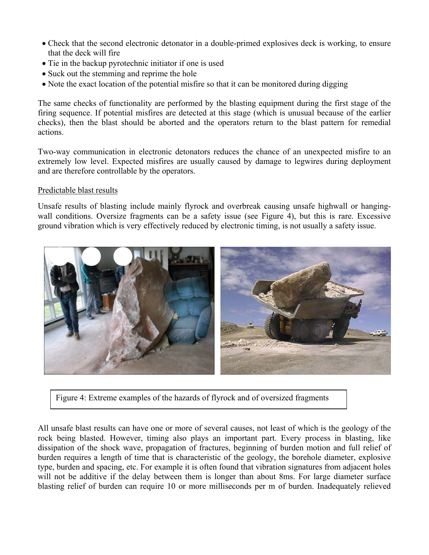- Check that the second electronic detonator in a double-primed explosives deck is working, to ensure that the deck will fire
- Tie in the backup pyrotechnic initiator if one is used
- Suck out the stemming and reprime the hole
- Note the exact location of the potential misfire so that it can be monitored during digging

The same checks of functionality are performed by the blasting equipment during the first stage of the firing sequence. If potential misfires are detected at this stage (which is unusual because of the earlier checks), then the blast should be aborted and the operators return to the blast pattern for remedial actions.

Two-way communication in electronic detonators reduces the chance of an unexpected misfire to an extremely low level. Expected misfires are usually caused by damage to legwires during deployment and are therefore controllable by the operators.

#### Predictable blast results

Unsafe results of blasting include mainly flyrock and overbreak causing unsafe highwall or hangingwall conditions. Oversize fragments can be a safety issue (see Figure 4), but this is rare. Excessive ground vibration which is very effectively reduced by electronic timing, is not usually a safety issue.



Figure 4: Extreme examples of the hazards of flyrock and of oversized fragments

All unsafe blast results can have one or more of several causes, not least of which is the geology of the rock being blasted. However, timing also plays an important part. Every process in blasting, like dissipation of the shock wave, propagation of fractures, beginning of burden motion and full relief of burden requires a length of time that is characteristic of the geology, the borehole diameter, explosive type, burden and spacing, etc. For example it is often found that vibration signatures from adjacent holes will not be additive if the delay between them is longer than about 8ms. For large diameter surface blasting relief of burden can require 10 or more milliseconds per m of burden. Inadequately relieved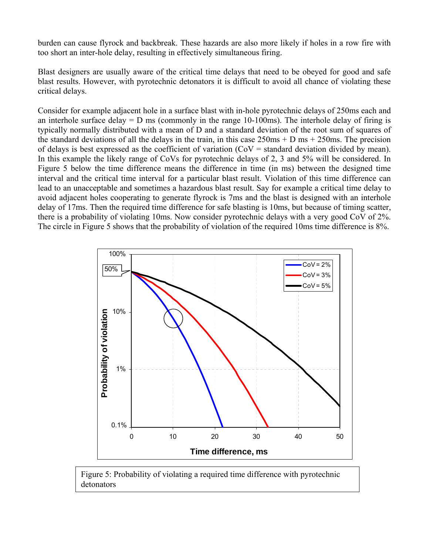burden can cause flyrock and backbreak. These hazards are also more likely if holes in a row fire with too short an inter-hole delay, resulting in effectively simultaneous firing.

Blast designers are usually aware of the critical time delays that need to be obeyed for good and safe blast results. However, with pyrotechnic detonators it is difficult to avoid all chance of violating these critical delays.

Consider for example adjacent hole in a surface blast with in-hole pyrotechnic delays of 250ms each and an interhole surface delay  $= D$  ms (commonly in the range 10-100ms). The interhole delay of firing is typically normally distributed with a mean of D and a standard deviation of the root sum of squares of the standard deviations of all the delays in the train, in this case  $250\text{ms} + D \text{ms} + 250\text{ms}$ . The precision of delays is best expressed as the coefficient of variation ( $COV =$  standard deviation divided by mean). In this example the likely range of CoVs for pyrotechnic delays of 2, 3 and 5% will be considered. In Figure 5 below the time difference means the difference in time (in ms) between the designed time interval and the critical time interval for a particular blast result. Violation of this time difference can lead to an unacceptable and sometimes a hazardous blast result. Say for example a critical time delay to avoid adjacent holes cooperating to generate flyrock is 7ms and the blast is designed with an interhole delay of 17ms. Then the required time difference for safe blasting is 10ms, but because of timing scatter, there is a probability of violating 10ms. Now consider pyrotechnic delays with a very good CoV of 2%. The circle in Figure 5 shows that the probability of violation of the required 10ms time difference is 8%.



Figure 5: Probability of violating a required time difference with pyrotechnic detonators